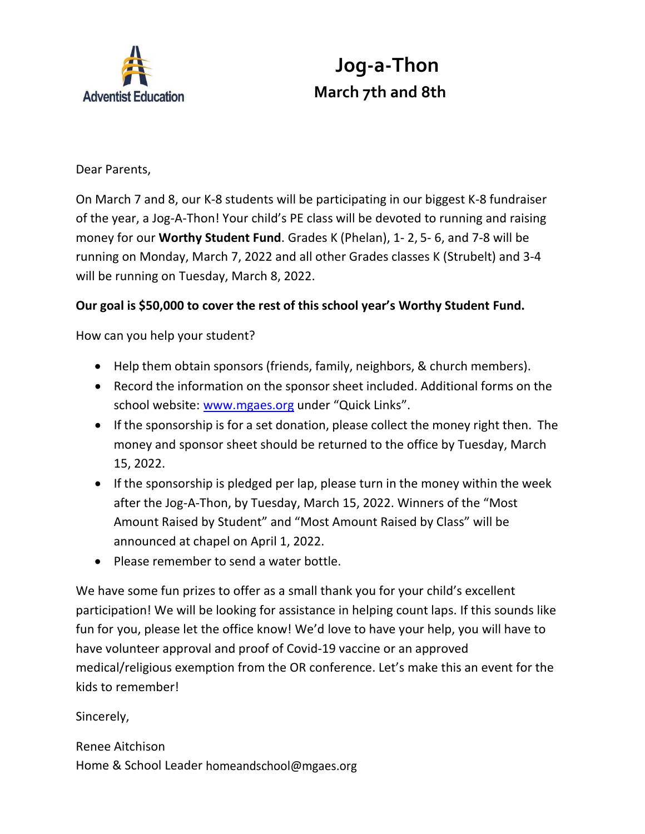

## **Jog-a-Thon March 7th and 8th**

Dear Parents,

On March 7 and 8, our K-8 students will be participating in our biggest K-8 fundraiser of the year, a Jog-A-Thon! Your child's PE class will be devoted to running and raising money for our **Worthy Student Fund**. Grades K (Phelan), 1- 2, 5- 6, and 7-8 will be running on Monday, March 7, 2022 and all other Grades classes K (Strubelt) and 3-4 will be running on Tuesday, March 8, 2022.

## **Our goal is \$50,000 to cover the rest of this school year's Worthy Student Fund.**

How can you help your student?

- Help them obtain sponsors (friends, family, neighbors, & church members).
- Record the information on the sponsor sheet included. Additional forms on the school website: [www.mgaes.org](http://www.mgaes.org/) under "Quick Links".
- If the sponsorship is for a set donation, please collect the money right then. The money and sponsor sheet should be returned to the office by Tuesday, March 15, 2022.
- If the sponsorship is pledged per lap, please turn in the money within the week after the Jog-A-Thon, by Tuesday, March 15, 2022. Winners of the "Most Amount Raised by Student" and "Most Amount Raised by Class" will be announced at chapel on April 1, 2022.
- Please remember to send a water bottle.

We have some fun prizes to offer as a small thank you for your child's excellent participation! We will be looking for assistance in helping count laps. If this sounds like fun for you, please let the office know! We'd love to have your help, you will have to have volunteer approval and proof of Covid-19 vaccine or an approved medical/religious exemption from the OR conference. Let's make this an event for the kids to remember!

Sincerely,

Renee Aitchison Home & School Leader [homeandschool@mgaes.org](mailto:homeandschool@mgaes.org)